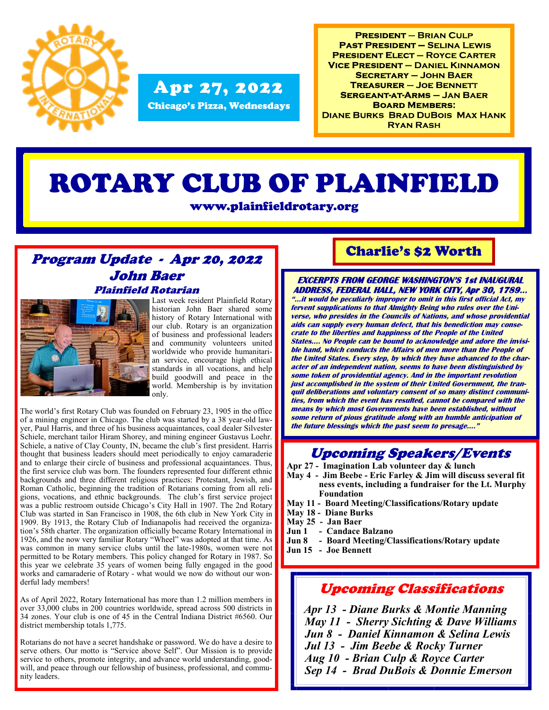

#### Chicago's Pizza, Wednesdays Apr 27, 2022

**PRESIDENT - BRIAN CULP PAST PRESIDENT - SELINA LEWIS PRESIDENT ELECT - ROYCE CARTER VICE PRESIDENT - DANIEL KINNAMON SECRETARY - JOHN BAER TREASURER - JOE BENNETT SERGEANT-AT-ARMS - JAN BAER BOARD MEMBERS: DIANE BURKS BRAD DUBOIS MAX HANK RYAN RASH** 

# ROTARY CLUB OF PLAINFIELD

www.plainfieldrotary.org

#### Program Update - Apr 20, 2022 John Baer Plainfield Rotarian



Last week resident Plainfield Rotary historian John Baer shared some history of Rotary International with our club. Rotary is an organization of business and professional leaders and community volunteers united worldwide who provide humanitarian service, encourage high ethical standards in all vocations, and help build goodwill and peace in the world. Membership is by invitation only.

The world's first Rotary Club was founded on February 23, 1905 in the office of a mining engineer in Chicago. The club was started by a 38 year-old lawyer, Paul Harris, and three of his business acquaintances, coal dealer Silvester Schiele, merchant tailor Hiram Shorey, and mining engineer Gustavus Loehr. Schiele, a native of Clay County, IN, became the club's first president. Harris thought that business leaders should meet periodically to enjoy camaraderie and to enlarge their circle of business and professional acquaintances. Thus, the first service club was born. The founders represented four different ethnic backgrounds and three different religious practices: Protestant, Jewish, and Roman Catholic, beginning the tradition of Rotarians coming from all religions, vocations, and ethnic backgrounds. The club's first service project was a public restroom outside Chicago's City Hall in 1907. The 2nd Rotary Club was started in San Francisco in 1908, the 6th club in New York City in 1909. By 1913, the Rotary Club of Indianapolis had received the organization's 58th charter. The organization officially became Rotary International in 1926, and the now very familiar Rotary "Wheel" was adopted at that time. As was common in many service clubs until the late-1980s, women were not permitted to be Rotary members. This policy changed for Rotary in 1987. So this year we celebrate 35 years of women being fully engaged in the good works and camaraderie of Rotary - what would we now do without our wonderful lady members!

As of April 2022, Rotary International has more than 1.2 million members in over 33,000 clubs in 200 countries worldwide, spread across 500 districts in 34 zones. Your club is one of 45 in the Central Indiana District #6560. Our district membership totals 1,775.

Rotarians do not have a secret handshake or password. We do have a desire to serve others. Our motto is "Service above Self". Our Mission is to provide service to others, promote integrity, and advance world understanding, goodwill, and peace through our fellowship of business, professional, and community leaders.

#### Charlie's \$2 Worth

#### **EXCERPTS FROM GEORGE WASHINGTON'S 1st INAUGURAL ADDRESS, FEDERAL HALL, NEW YORK CITY, Apr 30, 1789…**

**"...it would be peculiarly improper to omit in this first official Act, my fervent supplications to that Almighty Being who rules over the Universe, who presides in the Councils of Nations, and whose providential aids can supply every human defect, that his benediction may consecrate to the liberties and happiness of the People of the United States…. No People can be bound to acknowledge and adore the invisible hand, which conducts the Affairs of men more than the People of the United States. Every step, by which they have advanced to the character of an independent nation, seems to have been distinguished by some token of providential agency. And in the important revolution just accomplished in the system of their United Government, the tranquil deliberations and voluntary consent of so many distinct communities, from which the event has resulted, cannot be compared with the means by which most Governments have been established, without some return of pious gratitude along with an humble anticipation of the future blessings which the past seem to presage…."**

### Upcoming Speakers/Events

- **Apr 27 - Imagination Lab volunteer day & lunch**
- **May 4 - Jim Beebe - Eric Farley & Jim will discuss several fit ness events, including a fundraiser for the Lt. Murphy Foundation**
- **May 11 - Board Meeting/Classifications/Rotary update**
- **May 18 - Diane Burks**
- **May 25 - Jan Baer**
- 
- **Jun 1 - Candace Balzano Jun 8 - Board Meeting/Classifications/Rotary update**
- **Jun 15 - Joe Bennett**

#### Upcoming Classifications

 *Apr 13 - Diane Burks & Montie Manning May 11 - Sherry Sichting & Dave Williams Jun 8 - Daniel Kinnamon & Selina Lewis Jul 13 - Jim Beebe & Rocky Turner Aug 10 - Brian Culp & Royce Carter Sep 14 - Brad DuBois & Donnie Emerson*